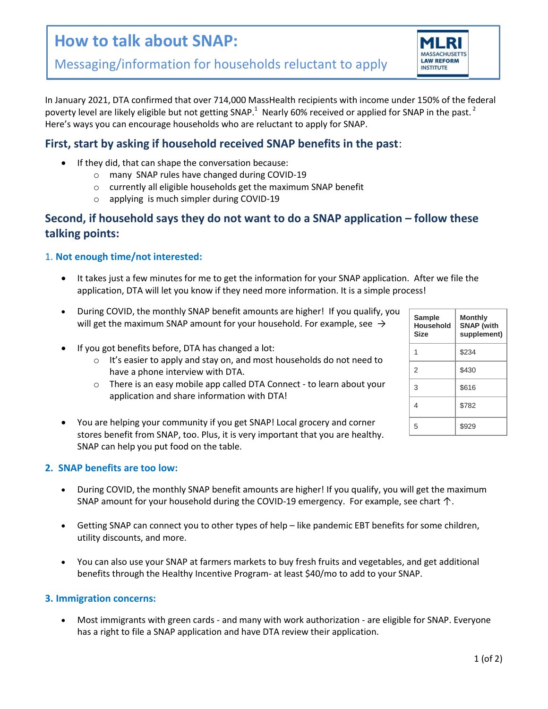# **How to talk about SNAP:**



In January 2021, DTA confirmed that over 714,000 MassHealth recipients with income under 150% of the federal poverty level are likely eligible but not getting SNAP.<sup>1</sup> Nearly 60% received or applied for SNAP in the past.<sup>2</sup> Here's ways you can encourage households who are reluctant to apply for SNAP.

## **First, start by asking if household received SNAP benefits in the past**:

- If they did, that can shape the conversation because:
	- o many SNAP rules have changed during COVID-19
	- o currently all eligible households get the maximum SNAP benefit
	- o applying is much simpler during COVID-19

## **Second, if household says they do not want to do a SNAP application – follow these talking points:**

### 1. **Not enough time/not interested:**

- It takes just a few minutes for me to get the information for your SNAP application. After we file the application, DTA will let you know if they need more information. It is a simple process!
- During COVID, the monthly SNAP benefit amounts are higher! If you qualify, you will get the maximum SNAP amount for your household. For example, see  $\rightarrow$
- If you got benefits before, DTA has changed a lot:
	- o It's easier to apply and stay on, and most households do not need to have a phone interview with DTA.
	- o There is an easy mobile app called DTA Connect to learn about your application and share information with DTA!
- You are helping your community if you get SNAP! Local grocery and corner stores benefit from SNAP, too. Plus, it is very important that you are healthy. SNAP can help you put food on the table.

### **2. SNAP benefits are too low:**

- During COVID, the monthly SNAP benefit amounts are higher! If you qualify, you will get the maximum SNAP amount for your household during the COVID-19 emergency. For example, see chart  $\uparrow$ .
- Getting SNAP can connect you to other types of help like pandemic EBT benefits for some children, utility discounts, and more.
- You can also use your SNAP at farmers markets to buy fresh fruits and vegetables, and get additional benefits through the Healthy Incentive Program- at least \$40/mo to add to your SNAP.

#### **3. Immigration concerns:**

 Most immigrants with green cards - and many with work authorization - are eligible for SNAP. Everyone has a right to file a SNAP application and have DTA review their application.

| Sample<br>Household<br><b>Size</b> | Monthly<br><b>SNAP</b> (with<br>supplement) |
|------------------------------------|---------------------------------------------|
|                                    | \$234                                       |
| $\mathcal{P}$                      | \$430                                       |
| 3                                  | \$616                                       |
| 4                                  | \$782                                       |
| 5                                  | \$929                                       |